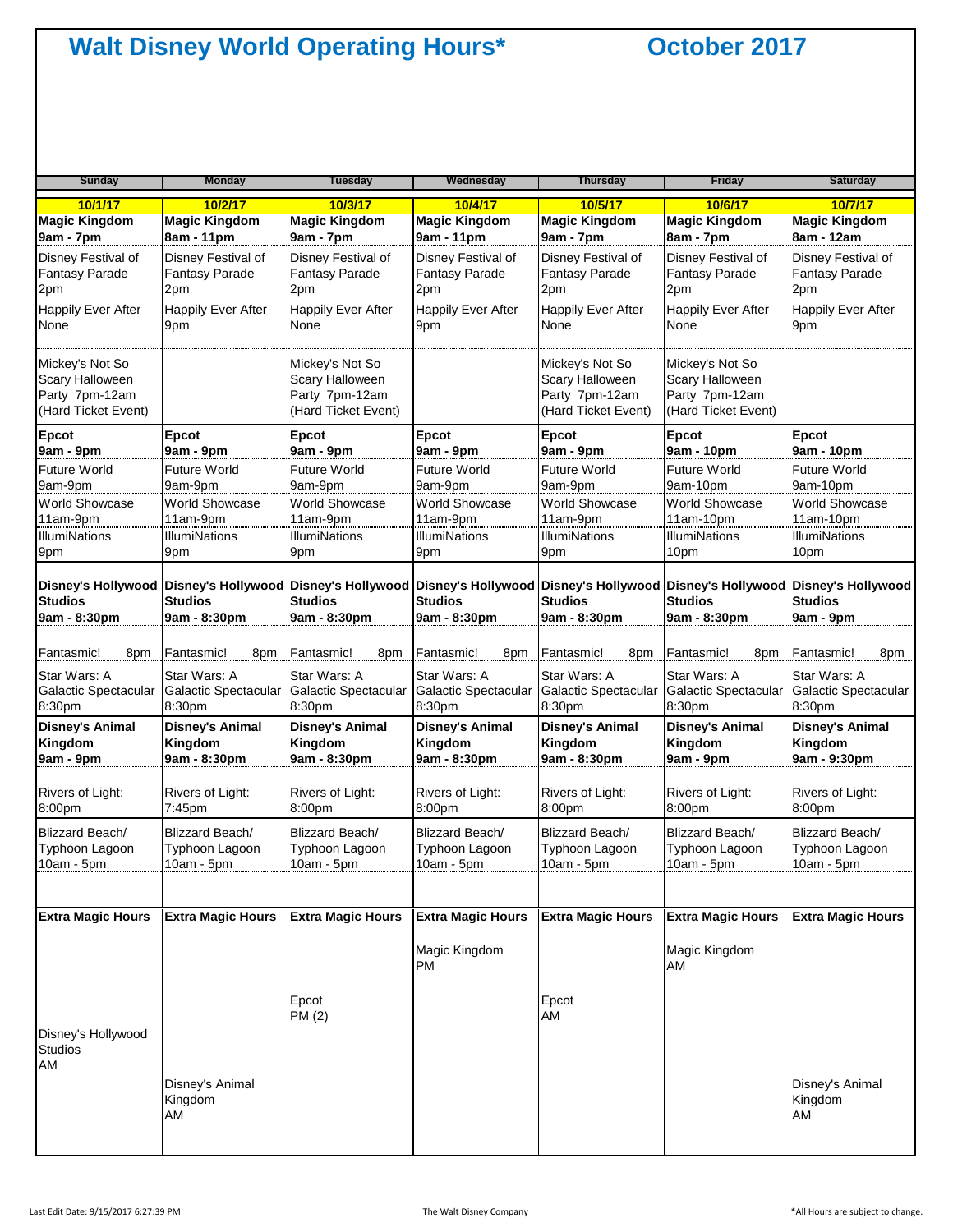| <b>Sunday</b>                                                               | <b>Monday</b>                                                                                                                                                                                                | <b>Tuesday</b>                                                              | Wednesday                                       | <b>Thursday</b>                                                             | <b>Friday</b>                                                               | <b>Saturday</b>                  |
|-----------------------------------------------------------------------------|--------------------------------------------------------------------------------------------------------------------------------------------------------------------------------------------------------------|-----------------------------------------------------------------------------|-------------------------------------------------|-----------------------------------------------------------------------------|-----------------------------------------------------------------------------|----------------------------------|
|                                                                             |                                                                                                                                                                                                              |                                                                             |                                                 |                                                                             |                                                                             |                                  |
| 10/1/17                                                                     | 10/2/17                                                                                                                                                                                                      | 10/3/17                                                                     | 10/4/17                                         | 10/5/17                                                                     | 10/6/17                                                                     | 10/7/17                          |
| <b>Magic Kingdom</b>                                                        | <b>Magic Kingdom</b>                                                                                                                                                                                         | <b>Magic Kingdom</b>                                                        | <b>Magic Kingdom</b>                            | <b>Magic Kingdom</b>                                                        | <b>Magic Kingdom</b>                                                        | <b>Magic Kingdom</b>             |
| 9am - 7pm                                                                   | 8am - 11pm                                                                                                                                                                                                   | 9am - 7pm                                                                   | 9am - 11pm                                      | 9am - 7pm                                                                   | 8am - 7pm                                                                   | 8am - 12am                       |
| Disney Festival of                                                          | Disney Festival of                                                                                                                                                                                           | Disney Festival of                                                          | Disney Festival of                              | Disney Festival of                                                          | Disney Festival of                                                          | Disney Festival of               |
| <b>Fantasy Parade</b>                                                       | <b>Fantasy Parade</b>                                                                                                                                                                                        | <b>Fantasy Parade</b>                                                       | Fantasy Parade                                  | <b>Fantasy Parade</b>                                                       | <b>Fantasy Parade</b>                                                       | <b>Fantasy Parade</b>            |
| 2pm                                                                         | 2pm                                                                                                                                                                                                          | 2pm                                                                         | 2pm                                             | 2pm                                                                         | 2pm                                                                         | 2pm                              |
| <b>Happily Ever After</b>                                                   | <b>Happily Ever After</b>                                                                                                                                                                                    | <b>Happily Ever After</b>                                                   | <b>Happily Ever After</b>                       | <b>Happily Ever After</b>                                                   | <b>Happily Ever After</b>                                                   | <b>Happily Ever After</b>        |
| None                                                                        | 9pm                                                                                                                                                                                                          | None                                                                        | 9pm                                             | None                                                                        | None                                                                        | 9pm                              |
| Mickey's Not So<br>Scary Halloween<br>Party 7pm-12am<br>(Hard Ticket Event) |                                                                                                                                                                                                              | Mickey's Not So<br>Scary Halloween<br>Party 7pm-12am<br>(Hard Ticket Event) |                                                 | Mickey's Not So<br>Scary Halloween<br>Party 7pm-12am<br>(Hard Ticket Event) | Mickey's Not So<br>Scary Halloween<br>Party 7pm-12am<br>(Hard Ticket Event) |                                  |
| <b>Epcot</b>                                                                | Epcot                                                                                                                                                                                                        | Epcot                                                                       | Epcot                                           | Epcot                                                                       | Epcot                                                                       | Epcot                            |
| 9am - 9pm                                                                   | 9am - 9pm                                                                                                                                                                                                    | 9am - 9pm                                                                   | 9am - 9pm                                       | 9am - 9pm                                                                   | 9am - 10pm                                                                  | 9am - 10pm                       |
| <b>Future World</b>                                                         | Future World                                                                                                                                                                                                 | <b>Future World</b>                                                         | <b>Future World</b>                             | Future World                                                                | <b>Future World</b>                                                         | <b>Future World</b>              |
| 9am-9pm                                                                     | 9am-9pm                                                                                                                                                                                                      | 9am-9pm                                                                     | 9am-9pm                                         | 9am-9pm                                                                     | 9am-10pm                                                                    | 9am-10pm                         |
| <b>World Showcase</b>                                                       | World Showcase                                                                                                                                                                                               | World Showcase                                                              | World Showcase                                  | World Showcase                                                              | World Showcase                                                              | World Showcase                   |
| 11am-9pm                                                                    | 11am-9pm                                                                                                                                                                                                     | 11am-9pm                                                                    | 11am-9pm                                        | 11am-9pm                                                                    | 11am-10pm                                                                   | 11am-10pm                        |
| <b>IllumiNations</b>                                                        | IllumiNations                                                                                                                                                                                                | <b>IllumiNations</b>                                                        | <b>IllumiNations</b>                            | <b>IllumiNations</b>                                                        | <b>IllumiNations</b>                                                        | <b>IllumiNations</b>             |
| 9pm                                                                         | 9pm                                                                                                                                                                                                          | 9pm                                                                         | 9pm                                             | 9pm                                                                         | 10pm                                                                        | 10pm                             |
| <b>Studios</b><br>9am - 8:30pm                                              | Disney's Hollywood Disney's Hollywood Disney's Hollywood Disney's Hollywood Disney's Hollywood Disney's Hollywood Disney's Hollywood Disney's Hollywood Disney's Hollywood<br><b>Studios</b><br>9am - 8:30pm | <b>Studios</b><br>9am - 8:30pm                                              | <b>Studios</b><br>9am - 8:30pm                  | Studios<br>9am - 8:30pm                                                     | <b>Studios</b><br>9am - 8:30pm                                              | <b>Studios</b><br>9am - 9pm      |
| Fantasmic!                                                                  | Fantasmic!                                                                                                                                                                                                   | Fantasmic!                                                                  | Fantasmic!                                      | Fantasmic!                                                                  | Fantasmic!                                                                  | Fantasmic!                       |
| 8pm                                                                         | 8pm                                                                                                                                                                                                          | 8pm                                                                         | 8pm                                             | 8pm                                                                         | 8pm                                                                         | 8pm                              |
| Star Wars: A                                                                | Star Wars: A                                                                                                                                                                                                 | Star Wars: A                                                                | Star Wars: A                                    | Star Wars: A                                                                | Star Wars: A                                                                | Star Wars: A                     |
| Galactic Spectacular                                                        | Galactic Spectacular                                                                                                                                                                                         | Galactic Spectacular                                                        | Galactic Spectacular                            | Galactic Spectacular                                                        | Galactic Spectacular                                                        | Galactic Spectacular             |
| 8:30pm                                                                      | 8:30pm                                                                                                                                                                                                       | 8:30pm                                                                      | 8:30pm                                          | 8:30pm                                                                      | 8:30pm                                                                      | 8:30pm                           |
| <b>Disney's Animal</b>                                                      | <b>Disney's Animal</b>                                                                                                                                                                                       | <b>Disney's Animal</b>                                                      | <b>Disney's Animal</b>                          | <b>Disney's Animal</b>                                                      | <b>Disney's Animal</b>                                                      | <b>Disney's Animal</b>           |
| Kingdom                                                                     | Kingdom                                                                                                                                                                                                      | Kingdom                                                                     | Kingdom                                         | Kingdom                                                                     | Kingdom                                                                     | Kingdom                          |
| 9am - 9pm                                                                   | 9am - 8:30pm                                                                                                                                                                                                 | 9am - 8:30pm                                                                | 9am - 8:30pm                                    | 9am - 8:30pm                                                                | 9am - 9pm                                                                   | 9am - 9:30pm                     |
| Rivers of Light:                                                            | Rivers of Light:                                                                                                                                                                                             | Rivers of Light:                                                            | Rivers of Light:                                | Rivers of Light:                                                            | Rivers of Light:                                                            | Rivers of Light:                 |
| 8:00pm                                                                      | 7:45pm                                                                                                                                                                                                       | 8:00pm                                                                      | 8:00pm                                          | 8:00pm                                                                      | 8:00pm                                                                      | 8:00pm                           |
| Blizzard Beach/                                                             | Blizzard Beach/                                                                                                                                                                                              | Blizzard Beach/                                                             | Blizzard Beach/                                 | Blizzard Beach/                                                             | Blizzard Beach/                                                             | Blizzard Beach/                  |
| Typhoon Lagoon                                                              | Typhoon Lagoon                                                                                                                                                                                               | Typhoon Lagoon                                                              | Typhoon Lagoon                                  | Typhoon Lagoon                                                              | Typhoon Lagoon                                                              | Typhoon Lagoon                   |
| 10am - 5pm                                                                  | 10am - 5pm                                                                                                                                                                                                   | 10am - 5pm                                                                  | 10am - 5pm                                      | 10am - 5pm                                                                  | 10am - 5pm                                                                  | 10am - 5pm                       |
|                                                                             |                                                                                                                                                                                                              |                                                                             |                                                 |                                                                             |                                                                             |                                  |
| <b>Extra Magic Hours</b><br>Disney's Hollywood<br><b>Studios</b><br>AM      | <b>Extra Magic Hours</b>                                                                                                                                                                                     | <b>Extra Magic Hours</b><br>Epcot<br>PM (2)                                 | <b>Extra Magic Hours</b><br>Magic Kingdom<br>PM | <b>Extra Magic Hours</b><br>Epcot<br>AM                                     | <b>Extra Magic Hours</b><br>Magic Kingdom<br>AM                             | <b>Extra Magic Hours</b>         |
|                                                                             | Disney's Animal<br>Kingdom<br>AM                                                                                                                                                                             |                                                                             |                                                 |                                                                             |                                                                             | Disney's Animal<br>Kingdom<br>AM |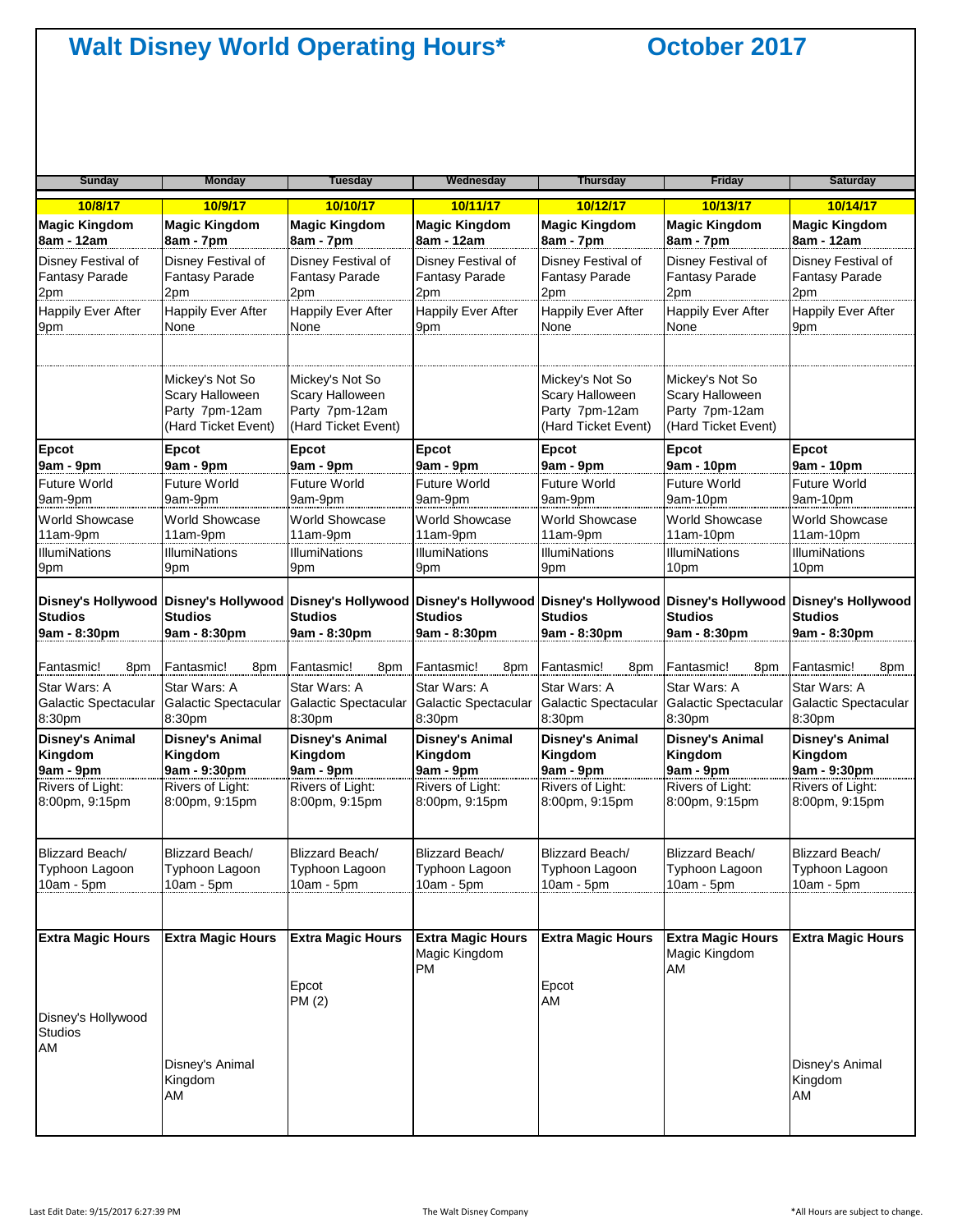| <b>Sunday</b>                                                                                                                                                                             | <b>Monday</b>                                                               | <b>Tuesday</b>                                                              | Wednesday                                       | <b>Thursday</b>                                                             | <b>Friday</b>                                                               | <b>Saturday</b>                  |
|-------------------------------------------------------------------------------------------------------------------------------------------------------------------------------------------|-----------------------------------------------------------------------------|-----------------------------------------------------------------------------|-------------------------------------------------|-----------------------------------------------------------------------------|-----------------------------------------------------------------------------|----------------------------------|
| 10/8/17                                                                                                                                                                                   | 10/9/17                                                                     | 10/10/17                                                                    | 10/11/17                                        | 10/12/17                                                                    | 10/13/17                                                                    | 10/14/17                         |
| <b>Magic Kingdom</b>                                                                                                                                                                      | <b>Magic Kingdom</b>                                                        | <b>Magic Kingdom</b>                                                        | <b>Magic Kingdom</b>                            | <b>Magic Kingdom</b>                                                        | <b>Magic Kingdom</b>                                                        | <b>Magic Kingdom</b>             |
| 8am - 12am                                                                                                                                                                                | 8am - 7pm                                                                   | 8am - 7pm                                                                   | 8am - 12am                                      | 8am - 7pm                                                                   | 8am - 7pm                                                                   | 8am - 12am                       |
| Disney Festival of                                                                                                                                                                        | Disney Festival of                                                          | Disney Festival of                                                          | Disney Festival of                              | Disney Festival of                                                          | Disney Festival of                                                          | Disney Festival of               |
| <b>Fantasy Parade</b>                                                                                                                                                                     | <b>Fantasy Parade</b>                                                       | Fantasy Parade                                                              | <b>Fantasy Parade</b>                           | <b>Fantasy Parade</b>                                                       | Fantasy Parade                                                              | Fantasy Parade                   |
| 2pm                                                                                                                                                                                       | 2pm                                                                         | 2pm                                                                         | 2pm                                             | 2pm                                                                         | 2pm                                                                         | 2pm                              |
| <b>Happily Ever After</b>                                                                                                                                                                 | <b>Happily Ever After</b>                                                   | <b>Happily Ever After</b>                                                   | <b>Happily Ever After</b>                       | <b>Happily Ever After</b>                                                   | Happily Ever After                                                          | <b>Happily Ever After</b>        |
| 9pm                                                                                                                                                                                       | None                                                                        | None                                                                        | 9pm                                             | None                                                                        | None                                                                        | 9pm                              |
|                                                                                                                                                                                           | Mickey's Not So<br>Scary Halloween<br>Party 7pm-12am<br>(Hard Ticket Event) | Mickey's Not So<br>Scary Halloween<br>Party 7pm-12am<br>(Hard Ticket Event) |                                                 | Mickey's Not So<br>Scary Halloween<br>Party 7pm-12am<br>(Hard Ticket Event) | Mickey's Not So<br>Scary Halloween<br>Party 7pm-12am<br>(Hard Ticket Event) |                                  |
| <b>Epcot</b>                                                                                                                                                                              | <b>Epcot</b>                                                                | Epcot                                                                       | Epcot                                           | <b>Epcot</b>                                                                | Epcot                                                                       | Epcot                            |
| 9am - 9pm                                                                                                                                                                                 | 9am - 9pm                                                                   | 9am - 9pm                                                                   | 9am - 9pm                                       | 9am - 9pm                                                                   | 9am - 10pm                                                                  | 9am - 10pm                       |
| <b>Future World</b>                                                                                                                                                                       | <b>Future World</b>                                                         | <b>Future World</b>                                                         | <b>Future World</b>                             | Future World                                                                | <b>Future World</b>                                                         | Future World                     |
| 9am-9pm                                                                                                                                                                                   | 9am-9pm                                                                     | 9am-9pm                                                                     | 9am-9pm                                         | 9am-9pm                                                                     | 9am-10pm                                                                    | 9am-10pm                         |
| <b>World Showcase</b>                                                                                                                                                                     | <b>World Showcase</b>                                                       | <b>World Showcase</b>                                                       | World Showcase                                  | World Showcase                                                              | <b>World Showcase</b>                                                       | World Showcase                   |
| 11am-9pm                                                                                                                                                                                  | 11am-9pm                                                                    | 11am-9pm                                                                    | 11am-9pm                                        | 11am-9pm                                                                    | $11am-10pm$                                                                 | $11am-10pm$                      |
| <b>IllumiNations</b>                                                                                                                                                                      | <b>IllumiNations</b>                                                        | <b>IllumiNations</b>                                                        | <b>IllumiNations</b>                            | <b>IllumiNations</b>                                                        | <b>IllumiNations</b>                                                        | <b>IllumiNations</b>             |
| 9pm                                                                                                                                                                                       | 9pm                                                                         | 9pm                                                                         | 9pm                                             | 9pm                                                                         | 10pm                                                                        | 10pm                             |
| Disney's Hollywood Disney's Hollywood Disney's Hollywood Disney's Hollywood Disney's Hollywood Disney's Hollywood Disney's Hollywood Disney's Hollywood<br><b>Studios</b><br>9am - 8:30pm | <b>Studios</b><br>9am - 8:30pm                                              | <b>Studios</b><br>9am - 8:30pm                                              | <b>Studios</b><br>9am - 8:30pm                  | <b>Studios</b><br>9am - 8:30pm                                              | <b>Studios</b><br>9am - 8:30pm                                              | <b>Studios</b><br>9am - 8:30pm   |
| Fantasmic!                                                                                                                                                                                | Fantasmic!                                                                  | Fantasmic!                                                                  | Fantasmic!                                      | Fantasmic!                                                                  | Fantasmic!                                                                  | Fantasmic!                       |
| 8pm                                                                                                                                                                                       | 8pm                                                                         | 8pm                                                                         | 8pm                                             | 8pm                                                                         | 8pm                                                                         | 8pm                              |
| Star Wars: A                                                                                                                                                                              | Star Wars: A                                                                | Star Wars: A                                                                | Star Wars: A                                    | Star Wars: A                                                                | Star Wars: A                                                                | Star Wars: A                     |
| Galactic Spectacular                                                                                                                                                                      | Galactic Spectacular                                                        | Galactic Spectacular                                                        | Galactic Spectacular                            | Galactic Spectacular                                                        | Galactic Spectacular                                                        | Galactic Spectacular             |
| 8:30pm                                                                                                                                                                                    | 8:30pm                                                                      | 8:30pm                                                                      | 8:30pm                                          | 8:30pm                                                                      | 8:30pm                                                                      | 8:30pm                           |
| <b>Disney's Animal</b>                                                                                                                                                                    | <b>Disney's Animal</b>                                                      | <b>Disney's Animal</b>                                                      | <b>Disney's Animal</b>                          | <b>Disney's Animal</b>                                                      | <b>Disney's Animal</b>                                                      | <b>Disney's Animal</b>           |
| Kingdom                                                                                                                                                                                   | Kingdom                                                                     | Kingdom                                                                     | Kingdom                                         | Kingdom                                                                     | Kingdom                                                                     | Kingdom                          |
| 9am - 9pm                                                                                                                                                                                 | 9am - 9:30pm                                                                | 9am - 9pm                                                                   | 9am - 9pm                                       | 9am - 9pm                                                                   | 9am - 9pm                                                                   | 9am - 9:30pm                     |
| Rivers of Light:                                                                                                                                                                          | Rivers of Light:                                                            | Rivers of Light:                                                            | Rivers of Light:                                | Rivers of Light:                                                            | Rivers of Light:                                                            | Rivers of Light:                 |
| 8:00pm, 9:15pm                                                                                                                                                                            | 8:00pm, 9:15pm                                                              | 8:00pm, 9:15pm                                                              | 8:00pm, 9:15pm                                  | 8:00pm, 9:15pm                                                              | 8:00pm, 9:15pm                                                              | 8:00pm, 9:15pm                   |
| <b>Blizzard Beach/</b>                                                                                                                                                                    | <b>Blizzard Beach/</b>                                                      | <b>Blizzard Beach/</b>                                                      | <b>Blizzard Beach/</b>                          | <b>Blizzard Beach/</b>                                                      | Blizzard Beach/                                                             | Blizzard Beach/                  |
| Typhoon Lagoon                                                                                                                                                                            | Typhoon Lagoon                                                              | Typhoon Lagoon                                                              | Typhoon Lagoon                                  | Typhoon Lagoon                                                              | Typhoon Lagoon                                                              | Typhoon Lagoon                   |
| 10am - 5pm                                                                                                                                                                                | 10am - 5pm                                                                  | 10am - 5pm                                                                  | $10am - 5pm$                                    | 10am - 5pm                                                                  | 10am - 5pm                                                                  | $10am - 5pm$                     |
| <b>Extra Magic Hours</b>                                                                                                                                                                  | <b>Extra Magic Hours</b>                                                    | <b>Extra Magic Hours</b>                                                    | <b>Extra Magic Hours</b><br>Magic Kingdom<br>PM | <b>Extra Magic Hours</b>                                                    | <b>Extra Magic Hours</b><br>Magic Kingdom<br>AM                             | <b>Extra Magic Hours</b>         |
| Disney's Hollywood<br><b>Studios</b><br>AM                                                                                                                                                |                                                                             | Epcot<br>PM (2)                                                             |                                                 | Epcot<br>AM                                                                 |                                                                             |                                  |
|                                                                                                                                                                                           | Disney's Animal<br>Kingdom<br>AM                                            |                                                                             |                                                 |                                                                             |                                                                             | Disney's Animal<br>Kingdom<br>AM |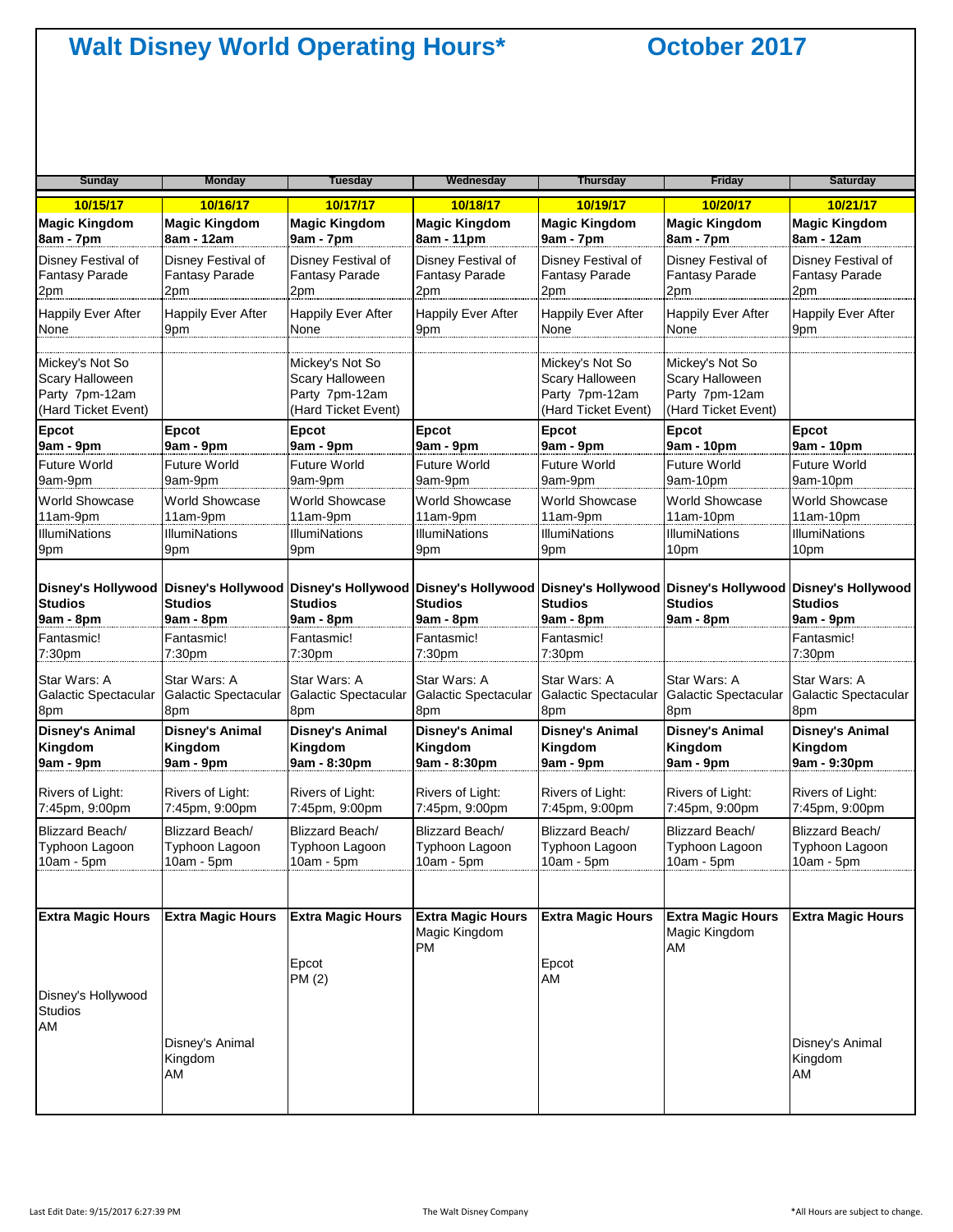| <b>Sunday</b>                                                                      | <b>Monday</b>               | <b>Tuesday</b>                                                              | Wednesday                                       | <b>Thursday</b>                                                                                                                                                                                           | <b>Friday</b>                                                               | <b>Saturday</b>             |
|------------------------------------------------------------------------------------|-----------------------------|-----------------------------------------------------------------------------|-------------------------------------------------|-----------------------------------------------------------------------------------------------------------------------------------------------------------------------------------------------------------|-----------------------------------------------------------------------------|-----------------------------|
| 10/15/17                                                                           | 10/16/17                    | 10/17/17                                                                    | 10/18/17                                        | 10/19/17                                                                                                                                                                                                  | 10/20/17                                                                    | 10/21/17                    |
| <b>Magic Kingdom</b>                                                               | <b>Magic Kingdom</b>        | <b>Magic Kingdom</b>                                                        | <b>Magic Kingdom</b>                            | <b>Magic Kingdom</b>                                                                                                                                                                                      | <b>Magic Kingdom</b>                                                        | <b>Magic Kingdom</b>        |
| 8am - 7pm                                                                          | 8am - 12am                  | 9am - 7pm                                                                   | 8am - 11pm                                      | 9am - 7pm                                                                                                                                                                                                 | 8am - 7pm                                                                   | 8am - 12am                  |
| Disney Festival of                                                                 | Disney Festival of          | Disney Festival of                                                          | Disney Festival of                              | Disney Festival of                                                                                                                                                                                        | Disney Festival of                                                          | Disney Festival of          |
| <b>Fantasy Parade</b>                                                              | <b>Fantasy Parade</b>       | <b>Fantasy Parade</b>                                                       | <b>Fantasy Parade</b>                           | <b>Fantasy Parade</b>                                                                                                                                                                                     | <b>Fantasy Parade</b>                                                       | <b>Fantasy Parade</b>       |
| 2pm                                                                                | 2pm                         | 2pm                                                                         | 2pm                                             | 2pm                                                                                                                                                                                                       | 2pm                                                                         | 2pm                         |
| <b>Happily Ever After</b>                                                          | <b>Happily Ever After</b>   | <b>Happily Ever After</b>                                                   | <b>Happily Ever After</b>                       | <b>Happily Ever After</b>                                                                                                                                                                                 | <b>Happily Ever After</b>                                                   | <b>Happily Ever After</b>   |
| None                                                                               | 9pm                         | None                                                                        | 9pm                                             | None                                                                                                                                                                                                      | None                                                                        | 9pm                         |
| Mickey's Not So<br><b>Scary Halloween</b><br>Party 7pm-12am<br>(Hard Ticket Event) |                             | Mickey's Not So<br>Scary Halloween<br>Party 7pm-12am<br>(Hard Ticket Event) |                                                 | Mickey's Not So<br>Scary Halloween<br>Party 7pm-12am<br>(Hard Ticket Event)                                                                                                                               | Mickey's Not So<br>Scary Halloween<br>Party 7pm-12am<br>(Hard Ticket Event) |                             |
| <b>Epcot</b>                                                                       | <b>Epcot</b>                | <b>Epcot</b>                                                                | <b>Epcot</b>                                    | <b>Epcot</b>                                                                                                                                                                                              | <b>Epcot</b>                                                                | Epcot                       |
| 9am - 9pm                                                                          | 9am - 9pm                   | 9am - 9pm                                                                   | 9am - 9pm                                       | 9am - 9pm                                                                                                                                                                                                 | 9am - 10pm                                                                  | 9am - 10pm                  |
| <b>Future World</b>                                                                | <b>Future World</b>         | Future World                                                                | Future World                                    | <b>Future World</b>                                                                                                                                                                                       | <b>Future World</b>                                                         | <b>Future World</b>         |
| 9am-9pm                                                                            | 9am-9pm                     | 9am-9pm                                                                     | 9am-9pm                                         | 9am-9pm                                                                                                                                                                                                   | 9am-10pm                                                                    | 9am-10pm                    |
| <b>World Showcase</b>                                                              | <b>World Showcase</b>       | <b>World Showcase</b>                                                       | World Showcase                                  | <b>World Showcase</b>                                                                                                                                                                                     | <b>World Showcase</b>                                                       | World Showcase              |
| 11am-9pm                                                                           | 11am-9pm                    | 11am-9pm                                                                    | 11am-9pm                                        | 11am-9pm                                                                                                                                                                                                  | $11am-10pm$                                                                 | 11am-10pm                   |
| <b>IllumiNations</b>                                                               | IllumiNations               | <b>IllumiNations</b>                                                        | <b>IllumiNations</b>                            | <b>IllumiNations</b>                                                                                                                                                                                      | <b>IllumiNations</b>                                                        | <b>IllumiNations</b>        |
| 9pm                                                                                | 9pm                         | 9pm                                                                         | 9pm                                             | 9pm                                                                                                                                                                                                       | 10pm                                                                        | 10pm                        |
| <b>Studios</b><br>9am - 8pm                                                        | <b>Studios</b><br>9am - 8pm | <b>Studios</b><br>9am - 8pm                                                 | <b>Studios</b><br>9am - 8pm                     | Disney's Hollywood Disney's Hollywood Disney's Hollywood Disney's Hollywood Disney's Hollywood Disney's Hollywood Disney's Hollywood Disney's Hollywood Disney's Hollywood<br><b>Studios</b><br>9am - 8pm | <b>Studios</b><br>9am - 8pm                                                 | <b>Studios</b><br>9am - 9pm |
| Fantasmic!                                                                         | Fantasmic!                  | Fantasmic!                                                                  | Fantasmic!                                      | Fantasmic!                                                                                                                                                                                                |                                                                             | Fantasmic!                  |
| 7:30pm                                                                             | 7:30pm                      | 7:30pm                                                                      | 7:30pm                                          | 7:30pm                                                                                                                                                                                                    |                                                                             | 7:30pm                      |
| Star Wars: A                                                                       | Star Wars: A                | Star Wars: A                                                                | Star Wars: A                                    | Star Wars: A                                                                                                                                                                                              | Star Wars: A                                                                | Star Wars: A                |
| Galactic Spectacular                                                               | Galactic Spectacular        | Galactic Spectacular                                                        | Galactic Spectacular                            | Galactic Spectacular                                                                                                                                                                                      | Galactic Spectacular                                                        | Galactic Spectacular        |
| 8pm                                                                                | 8pm                         | 8pm                                                                         | 8pm                                             | 8pm                                                                                                                                                                                                       | 8pm                                                                         | 8pm                         |
| <b>Disney's Animal</b>                                                             | <b>Disney's Animal</b>      | <b>Disney's Animal</b>                                                      | <b>Disney's Animal</b>                          | <b>Disney's Animal</b>                                                                                                                                                                                    | <b>Disney's Animal</b>                                                      | <b>Disney's Animal</b>      |
| Kingdom                                                                            | Kingdom                     | Kingdom                                                                     | Kingdom                                         | Kingdom                                                                                                                                                                                                   | Kingdom                                                                     | Kingdom                     |
| 9am - 9pm                                                                          | 9am - 9pm                   | 9am - 8:30pm                                                                | 9am - 8:30pm                                    | 9am - 9pm                                                                                                                                                                                                 | 9am - 9pm                                                                   | 9am - 9:30pm                |
| Rivers of Light:                                                                   | Rivers of Light:            | Rivers of Light:                                                            | Rivers of Light:                                | Rivers of Light:                                                                                                                                                                                          | Rivers of Light:                                                            | Rivers of Light:            |
| 7:45pm, 9:00pm                                                                     | 7:45pm, 9:00pm              | 7:45pm, 9:00pm                                                              | 7:45pm, 9:00pm                                  | 7:45pm, 9:00pm                                                                                                                                                                                            | 7:45pm, 9:00pm                                                              | 7:45pm, 9:00pm              |
| Blizzard Beach/                                                                    | Blizzard Beach/             | Blizzard Beach/                                                             | Blizzard Beach/                                 | Blizzard Beach/                                                                                                                                                                                           | Blizzard Beach/                                                             | Blizzard Beach/             |
| Typhoon Lagoon                                                                     | Typhoon Lagoon              | Typhoon Lagoon                                                              | Typhoon Lagoon                                  | Typhoon Lagoon                                                                                                                                                                                            | Typhoon Lagoon                                                              | Typhoon Lagoon              |
| $10am - 5pm$                                                                       | $10am - 5pm$                | $10am - 5pm$                                                                | 10am - 5pm                                      | $10am - 5pm$                                                                                                                                                                                              | $10am - 5pm$                                                                | $10am - 5pm$                |
|                                                                                    |                             |                                                                             |                                                 |                                                                                                                                                                                                           |                                                                             |                             |
| <b>Extra Magic Hours</b>                                                           | <b>Extra Magic Hours</b>    | <b>Extra Magic Hours</b><br>Epcot<br>PM (2)                                 | <b>Extra Magic Hours</b><br>Magic Kingdom<br>PM | <b>Extra Magic Hours</b><br>Epcot<br>AM                                                                                                                                                                   | <b>Extra Magic Hours</b><br>Magic Kingdom<br>AM                             | <b>Extra Magic Hours</b>    |
| Disney's Hollywood<br><b>Studios</b><br>AM                                         | Disney's Animal<br>Kingdom  |                                                                             |                                                 |                                                                                                                                                                                                           |                                                                             | Disney's Animal<br>Kingdom  |
|                                                                                    | AM                          |                                                                             |                                                 |                                                                                                                                                                                                           |                                                                             | AM                          |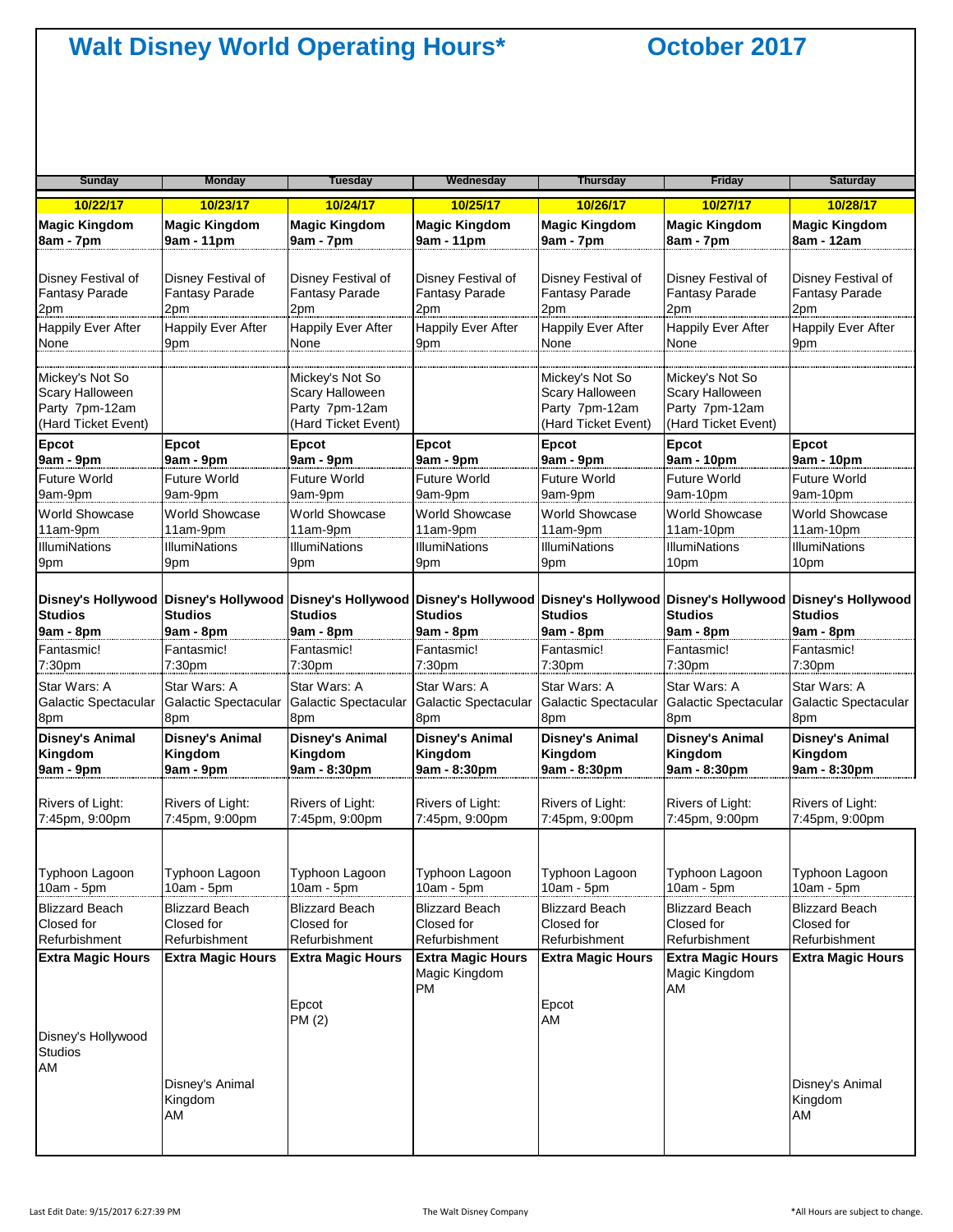| <b>Sunday</b>                                                               | <b>Monday</b>                    | <b>Tuesday</b>                                                              | Wednesday                                       | <b>Thursday</b>                                                                                                                                                                        | <b>Friday</b>                                                               | <b>Saturday</b>                  |
|-----------------------------------------------------------------------------|----------------------------------|-----------------------------------------------------------------------------|-------------------------------------------------|----------------------------------------------------------------------------------------------------------------------------------------------------------------------------------------|-----------------------------------------------------------------------------|----------------------------------|
| 10/22/17                                                                    | 10/23/17                         | 10/24/17                                                                    | 10/25/17                                        | 10/26/17                                                                                                                                                                               | 10/27/17                                                                    | 10/28/17                         |
| <b>Magic Kingdom</b>                                                        | <b>Magic Kingdom</b>             | <b>Magic Kingdom</b>                                                        | <b>Magic Kingdom</b>                            | <b>Magic Kingdom</b>                                                                                                                                                                   | <b>Magic Kingdom</b>                                                        | <b>Magic Kingdom</b>             |
| 8am - 7pm                                                                   | 9am - 11pm                       | 9am - 7pm                                                                   | 9am - 11pm                                      | 9am - 7pm                                                                                                                                                                              | 8am - 7pm                                                                   | 8am - 12am                       |
| Disney Festival of                                                          | Disney Festival of               | Disney Festival of                                                          | Disney Festival of                              | Disney Festival of                                                                                                                                                                     | Disney Festival of                                                          | Disney Festival of               |
| Fantasy Parade                                                              | <b>Fantasy Parade</b>            | <b>Fantasy Parade</b>                                                       | Fantasy Parade                                  | <b>Fantasy Parade</b>                                                                                                                                                                  | <b>Fantasy Parade</b>                                                       | <b>Fantasy Parade</b>            |
| 2pm                                                                         | 2pm                              | 2pm                                                                         | 2pm                                             | 2pm                                                                                                                                                                                    | 2pm                                                                         | 2pm                              |
| <b>Happily Ever After</b>                                                   | <b>Happily Ever After</b>        | Happily Ever After                                                          | <b>Happily Ever After</b>                       | Happily Ever After                                                                                                                                                                     | <b>Happily Ever After</b>                                                   | <b>Happily Ever After</b>        |
| None                                                                        | 9pm                              | None                                                                        | 9pm                                             | None                                                                                                                                                                                   | None                                                                        | 9pm                              |
| Mickey's Not So<br>Scary Halloween<br>Party 7pm-12am<br>(Hard Ticket Event) |                                  | Mickey's Not So<br>Scary Halloween<br>Party 7pm-12am<br>(Hard Ticket Event) |                                                 | Mickey's Not So<br>Scary Halloween<br>Party 7pm-12am<br>(Hard Ticket Event)                                                                                                            | Mickey's Not So<br>Scary Halloween<br>Party 7pm-12am<br>(Hard Ticket Event) |                                  |
| <b>Epcot</b>                                                                | Epcot                            | Epcot                                                                       | Epcot                                           | Epcot                                                                                                                                                                                  | Epcot                                                                       | Epcot                            |
| 9am - 9pm                                                                   | 9am - 9pm                        | 9am - 9pm                                                                   | 9am - 9pm                                       | 9am - 9pm                                                                                                                                                                              | 9am - 10pm                                                                  | 9am - 10pm                       |
| Future World                                                                | <b>Future World</b>              | Future World                                                                | <b>Future World</b>                             | <b>Future World</b>                                                                                                                                                                    | <b>Future World</b>                                                         | <b>Future World</b>              |
| 9am-9pm                                                                     | 9am-9pm                          | 9am-9pm                                                                     | 9am-9pm                                         | 9am-9pm                                                                                                                                                                                | 9am-10pm                                                                    | 9am-10pm                         |
| <b>World Showcase</b>                                                       | <b>World Showcase</b>            | <b>World Showcase</b>                                                       | <b>World Showcase</b>                           | <b>World Showcase</b>                                                                                                                                                                  | World Showcase                                                              | <b>World Showcase</b>            |
| 11am-9pm                                                                    | 11am-9pm                         | 11am-9pm                                                                    | 11am-9pm                                        | 11am-9pm                                                                                                                                                                               | $11am-10pm$                                                                 | $11am-10pm$                      |
| <b>IllumiNations</b>                                                        | <b>IllumiNations</b>             | <b>IllumiNations</b>                                                        | <b>IllumiNations</b>                            | <b>IllumiNations</b>                                                                                                                                                                   | <b>IllumiNations</b>                                                        | <b>IllumiNations</b>             |
| 9pm                                                                         | 9pm                              | 9pm                                                                         | 9pm                                             | 9pm                                                                                                                                                                                    | 10pm                                                                        | 10pm                             |
| <b>Studios</b><br>9am - 8pm                                                 | <b>Studios</b><br>9am - 8pm      | <b>Studios</b><br>9am - 8pm                                                 | <b>Studios</b><br>9am - 8pm                     | Disney's Hollywood Disney's Hollywood Disney's Hollywood Disney's Hollywood Disney's Hollywood Disney's Hollywood Disney's Hollywood Disney's Hollywood<br><b>Studios</b><br>9am - 8pm | <b>Studios</b><br>9am - 8pm                                                 | <b>Studios</b><br>9am - 8pm      |
| Fantasmic!                                                                  | Fantasmic!                       | Fantasmic!                                                                  | Fantasmic!                                      | Fantasmic!                                                                                                                                                                             | Fantasmic!                                                                  | Fantasmic!                       |
| 7:30 <sub>pm</sub>                                                          | 7:30pm                           | 7:30pm                                                                      | 7:30pm                                          | 7:30pm                                                                                                                                                                                 | 7:30pm                                                                      | 7:30 <sub>pm</sub>               |
| Star Wars: A                                                                | Star Wars: A                     | Star Wars: A                                                                | Star Wars: A                                    | Star Wars: A                                                                                                                                                                           | Star Wars: A                                                                | Star Wars: A                     |
| <b>Galactic Spectacular</b>                                                 | Galactic Spectacular             | Galactic Spectacular                                                        | Galactic Spectacular                            | Galactic Spectacular                                                                                                                                                                   | Galactic Spectacular                                                        | Galactic Spectacular             |
| 8pm                                                                         | 8pm                              | 8pm                                                                         | 8pm                                             | 8pm                                                                                                                                                                                    | 8pm                                                                         | 8pm                              |
| <b>Disney's Animal</b>                                                      | <b>Disney's Animal</b>           | <b>Disney's Animal</b>                                                      | <b>Disney's Animal</b>                          | <b>Disney's Animal</b>                                                                                                                                                                 | <b>Disney's Animal</b>                                                      | <b>Disney's Animal</b>           |
| Kingdom                                                                     | Kingdom                          | Kingdom                                                                     | Kingdom                                         | Kingdom                                                                                                                                                                                | Kingdom                                                                     | Kingdom                          |
| 9am - 9pm                                                                   | 9am - 9pm                        | 9am - 8:30pm                                                                | 9am - 8:30pm                                    | 9am - 8:30pm                                                                                                                                                                           | 9am - 8:30pm                                                                | 9am - 8:30pm                     |
| Rivers of Light:                                                            | Rivers of Light:                 | Rivers of Light:                                                            | Rivers of Light:                                | Rivers of Light:                                                                                                                                                                       | Rivers of Light:                                                            | Rivers of Light:                 |
| 7:45pm, 9:00pm                                                              | 7:45pm, 9:00pm                   | 7:45pm, 9:00pm                                                              | 7:45pm, 9:00pm                                  | 7:45pm, 9:00pm                                                                                                                                                                         | 7:45pm, 9:00pm                                                              | 7:45pm, 9:00pm                   |
| Typhoon Lagoon                                                              | Typhoon Lagoon                   | Typhoon Lagoon                                                              | Typhoon Lagoon                                  | Typhoon Lagoon                                                                                                                                                                         | Typhoon Lagoon                                                              | Typhoon Lagoon                   |
| 10am - 5pm                                                                  | 10am - 5pm                       | $10am - 5pm$                                                                | 10am - 5pm                                      | 10am - 5pm                                                                                                                                                                             | 10am - 5pm                                                                  | $10am - 5pm$                     |
| <b>Blizzard Beach</b>                                                       | <b>Blizzard Beach</b>            | <b>Blizzard Beach</b>                                                       | Blizzard Beach                                  | <b>Blizzard Beach</b>                                                                                                                                                                  | Blizzard Beach                                                              | <b>Blizzard Beach</b>            |
| Closed for                                                                  | Closed for                       | Closed for                                                                  | Closed for                                      | Closed for                                                                                                                                                                             | Closed for                                                                  | Closed for                       |
| Refurbishment                                                               | Refurbishment                    | Refurbishment                                                               | Refurbishment                                   | Refurbishment                                                                                                                                                                          | Refurbishment                                                               | Refurbishment                    |
| <b>Extra Magic Hours</b><br>Disney's Hollywood<br>Studios                   | <b>Extra Magic Hours</b>         | <b>Extra Magic Hours</b><br>Epcot<br>PM (2)                                 | <b>Extra Magic Hours</b><br>Magic Kingdom<br>PM | <b>Extra Magic Hours</b><br>Epcot<br>AM                                                                                                                                                | <b>Extra Magic Hours</b><br>Magic Kingdom<br>AM                             | <b>Extra Magic Hours</b>         |
| AM                                                                          | Disney's Animal<br>Kingdom<br>AM |                                                                             |                                                 |                                                                                                                                                                                        |                                                                             | Disney's Animal<br>Kingdom<br>AM |